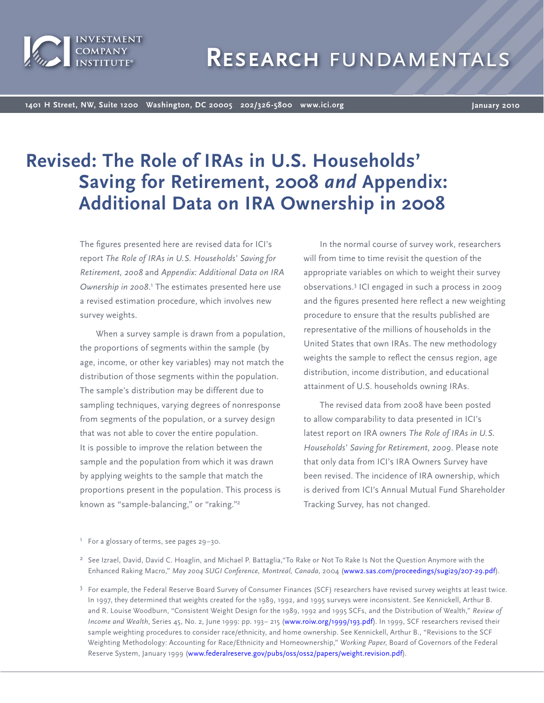

# **Research** fundamentals

**1401 H Street, NW, Suite 1200 Washington, DC 20005 202/326-5800 www.ici.org**

**January 2010**

# **Revised: The Role of IRAs in U.S. Households' Saving for Retirement, 2008** *and* **Appendix: Additional Data on IRA Ownership in 2008**

The figures presented here are revised data for ICI's report *The Role of IRAs in U.S. Households' Saving for Retirement, 2008* and *Appendix: Additional Data on IRA*  Ownership in 2008.<sup>1</sup> The estimates presented here use a revised estimation procedure, which involves new survey weights.

When a survey sample is drawn from a population, the proportions of segments within the sample (by age, income, or other key variables) may not match the distribution of those segments within the population. The sample's distribution may be different due to sampling techniques, varying degrees of nonresponse from segments of the population, or a survey design that was not able to cover the entire population. It is possible to improve the relation between the sample and the population from which it was drawn by applying weights to the sample that match the proportions present in the population. This process is known as "sample-balancing," or "raking."<sup>2</sup>

In the normal course of survey work, researchers will from time to time revisit the question of the appropriate variables on which to weight their survey observations.3 ICI engaged in such a process in 2009 and the figures presented here reflect a new weighting procedure to ensure that the results published are representative of the millions of households in the United States that own IRAs. The new methodology weights the sample to reflect the census region, age distribution, income distribution, and educational attainment of U.S. households owning IRAs.

The revised data from 2008 have been posted to allow comparability to data presented in ICI's latest report on IRA owners *The Role of IRAs in U.S. Households' Saving for Retirement, 2009*. Please note that only data from ICI's IRA Owners Survey have been revised. The incidence of IRA ownership, which is derived from ICI's Annual Mutual Fund Shareholder Tracking Survey, has not changed.

<sup>2</sup> See Izrael, David, David C. Hoaglin, and Michael P. Battaglia,"To Rake or Not To Rake Is Not the Question Anymore with the Enhanced Raking Macro," *May 2004 SUGI Conference, Montreal, Canada*, 200[4 \(www2.sas.com/proceedings/sugi29/207-29.pdf\).](http://www2.sas.com/proceedings/sugi29/207-29.pdf)

<sup>3</sup> For example, the Federal Reserve Board Survey of Consumer Finances (SCF) researchers have revised survey weights at least twice. In 1997, they determined that weights created for the 1989, 1992, and 1995 surveys were inconsistent. See Kennickell, Arthur B. and R. Louise Woodburn, "Consistent Weight Design for the 1989, 1992 and 1995 SCFs, and the Distribution of Wealth," *Review of Income and Wealth*, Series 45, No. 2, June 1999: pp. 193– 21[5 \(www.roiw.org/1999/193.pdf\). I](http://www.roiw.org/1999/193.pdf)n 1999, SCF researchers revised their sample weighting procedures to consider race/ethnicity, and home ownership. See Kennickell, Arthur B., "Revisions to the SCF Weighting Methodology: Accounting for Race/Ethnicity and Homeownership," *Working Paper*, Board of Governors of the Federal Reserve System, January 1999 [\(www.federalreserve.gov/pubs/oss/oss2/papers/weight.revision.pdf\).](http://www.federalreserve.gov/pubs/oss/oss2/papers/weight.revision.pdf)

 $^1$  For a glossary of terms, see pages 29–30.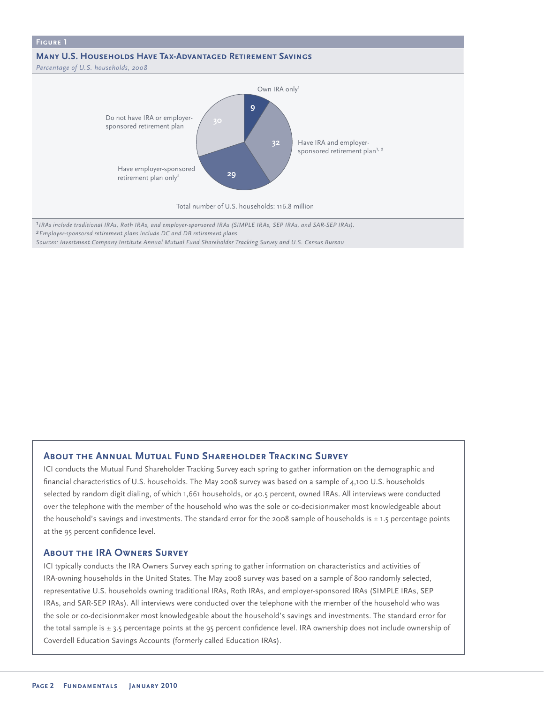

*2Employer-sponsored retirement plans include DC and DB retirement plans. Sources: Investment Company Institute Annual Mutual Fund Shareholder Tracking Survey and U.S. Census Bureau*

## **About the Annual Mutual Fund Shareholder Tracking Survey**

ICI conducts the Mutual Fund Shareholder Tracking Survey each spring to gather information on the demographic and financial characteristics of U.S. households. The May 2008 survey was based on a sample of  $4,100$  U.S. households selected by random digit dialing, of which 1,661 households, or 40.5 percent, owned IRAs. All interviews were conducted over the telephone with the member of the household who was the sole or co-decisionmaker most knowledgeable about the household's savings and investments. The standard error for the 2008 sample of households is  $\pm$  1.5 percentage points at the 95 percent confidence level.

#### **About the IRA Owners Survey**

ICI typically conducts the IRA Owners Survey each spring to gather information on characteristics and activities of IRA-owning households in the United States. The May 2008 survey was based on a sample of 800 randomly selected, representative U.S. households owning traditional IRAs, Roth IRAs, and employer-sponsored IRAs (SIMPLE IRAs, SEP IRAs, and SAR-SEP IRAs). All interviews were conducted over the telephone with the member of the household who was the sole or co-decisionmaker most knowledgeable about the household's savings and investments. The standard error for the total sample is  $\pm$  3.5 percentage points at the 95 percent confidence level. IRA ownership does not include ownership of Coverdell Education Savings Accounts (formerly called Education IRAs).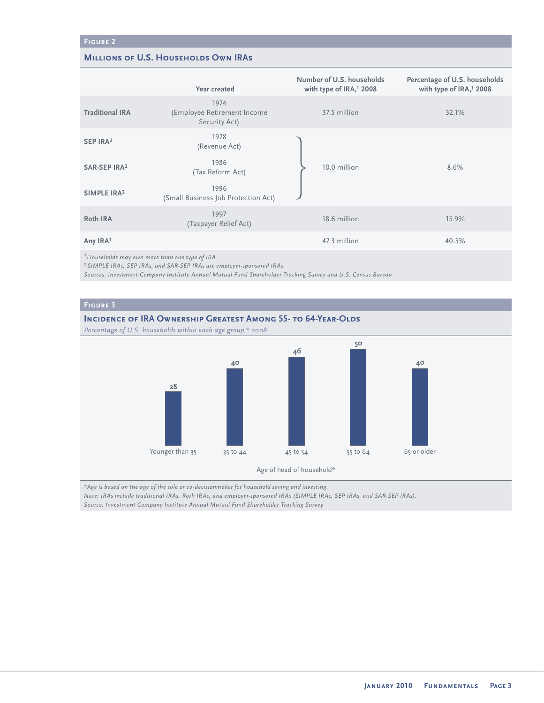### **MILLIONS OF U.S. HOUSEHOLDS OWN IRAS**

|                          | Year created                                         | Number of U.S. households<br>with type of IRA, <sup>1</sup> 2008 | Percentage of U.S. households<br>with type of IRA, <sup>1</sup> 2008 |
|--------------------------|------------------------------------------------------|------------------------------------------------------------------|----------------------------------------------------------------------|
| <b>Traditional IRA</b>   | 1974<br>(Employee Retirement Income<br>Security Act) | 37.5 million                                                     | 32.1%                                                                |
| SEP IRA <sup>2</sup>     | 1978<br>(Revenue Act)                                |                                                                  |                                                                      |
| SAR-SEP IRA <sup>2</sup> | 1986<br>(Tax Reform Act)                             | 10.0 million                                                     | 8.6%                                                                 |
| SIMPLE IRA <sup>2</sup>  | 1996<br>(Small Business Job Protection Act)          |                                                                  |                                                                      |
| Roth IRA                 | 1997<br>(Taxpayer Relief Act)                        | 18.6 million                                                     | 15.9%                                                                |
| Any IRA <sup>1</sup>     |                                                      | 47.3 million                                                     | 40.5%                                                                |

*1Households may own more than one type of IRA.*

*2SIMPLE IRAs, SEP IRAs, and SAR-SEP IRAs are employer-sponsored IRAs.*

*Sources: Investment Company Institute Annual Mutual Fund Shareholder Tracking Survey and U.S. Census Bureau*

# **INCIDENCE OF IRA OWNERSHIP GREATEST AMONG 55- TO 64-YEAR-OLDS** *Percentage of U.S. households within each age group,\* 2008* **28** Younger than 35 35 to 44 45 to 54 55 to 64 65 or older Age of head of household\* **40 46 50 40**

*\*Age is based on the age of the sole or co-decisionmaker for household saving and investing.*

*Note: IRAs include traditional IRAs, Roth IRAs, and employer-sponsored IRAs (SIMPLE IRAs, SEP IRAs, and SAR-SEP IRAs).*

*Source: Investment Company Institute Annual Mutual Fund Shareholder Tracking Survey*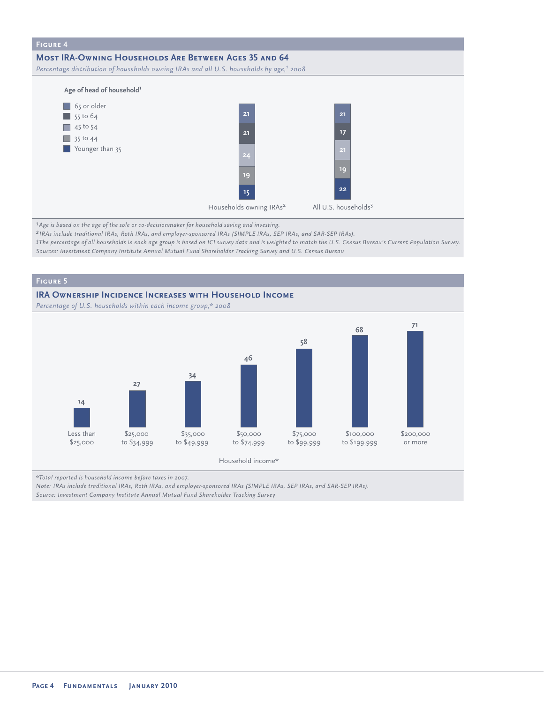

*1Age is based on the age of the sole or co-decisionmaker for household saving and investing.*

*2 IRAs include traditional IRAs, Roth IRAs, and employer-sponsored IRAs (SIMPLE IRAs, SEP IRAs, and SAR-SEP IRAs).*

*3The percentage of all households in each age group is based on ICI survey data and is weighted to match the U.S. Census Bureau's Current Population Survey. Sources: Investment Company Institute Annual Mutual Fund Shareholder Tracking Survey and U.S. Census Bureau*

#### **Figure 5**

#### **IRA Ownership Incidence Increases with Household Income**

*Percentage of U.S. households within each income group,\* 2008*



*\*Total reported is household income before taxes in 2007.*

*Note: IRAs include traditional IRAs, Roth IRAs, and employer-sponsored IRAs (SIMPLE IRAs, SEP IRAs, and SAR-SEP IRAs).*

*Source: Investment Company Institute Annual Mutual Fund Shareholder Tracking Survey*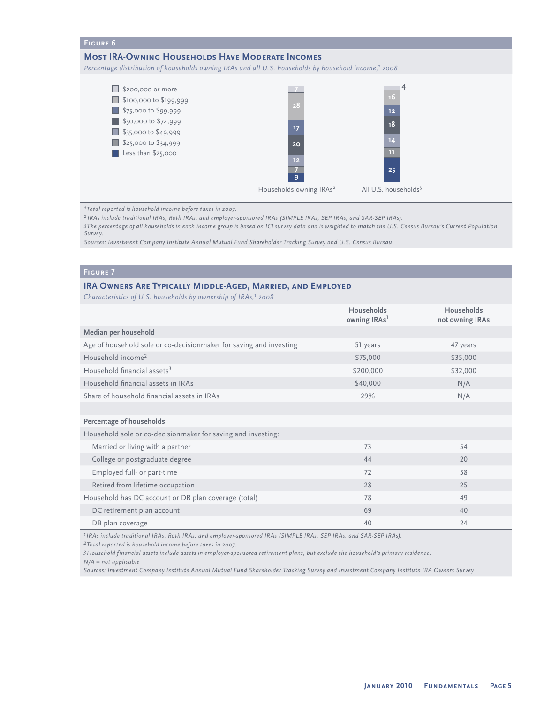#### **Figure 6**

#### **Most IRA-Owning Households Have Moderate Incomes**

*Percentage distribution of households owning IRAs and all U.S. households by household income,1 2008*



*1Total reported is household income before taxes in 2007.*

*2 IRAs include traditional IRAs, Roth IRAs, and employer-sponsored IRAs (SIMPLE IRAs, SEP IRAs, and SAR-SEP IRAs).*

*3The percentage of all households in each income group is based on ICI survey data and is weighted to match the U.S. Census Bureau's Current Population Survey.*

*Sources: Investment Company Institute Annual Mutual Fund Shareholder Tracking Survey and U.S. Census Bureau*

## **Figure 7**

#### **IRA Owners Are Typically Middle-Aged, Married, and Employed**

*Characteristics of U.S. households by ownership of IRAs,<sup>1</sup> 2008* 

|                                                                    | Households<br>owning IRAs <sup>1</sup> | Households<br>not owning IRAs |
|--------------------------------------------------------------------|----------------------------------------|-------------------------------|
| Median per household                                               |                                        |                               |
| Age of household sole or co-decisionmaker for saving and investing | 51 years                               | 47 years                      |
| Household income <sup>2</sup>                                      | \$75,000                               | \$35,000                      |
| Household financial assets <sup>3</sup>                            | \$200,000                              | \$32,000                      |
| Household financial assets in IRAs                                 | \$40,000                               | N/A                           |
| Share of household financial assets in IRAs                        | 29%                                    | N/A                           |
|                                                                    |                                        |                               |
| Percentage of households                                           |                                        |                               |
| Household sole or co-decisionmaker for saving and investing:       |                                        |                               |
| Married or living with a partner                                   | 73                                     | 54                            |
| College or postgraduate degree                                     | 44                                     | 20                            |
| Employed full- or part-time                                        | 72                                     | 58                            |
| Retired from lifetime occupation                                   | 28                                     | 25                            |
| Household has DC account or DB plan coverage (total)               | 78                                     | 49                            |
| DC retirement plan account                                         | 69                                     | 40                            |
| DB plan coverage                                                   | 40                                     | 24                            |

*1IRAs include traditional IRAs, Roth IRAs, and employer-sponsored IRAs (SIMPLE IRAs, SEP IRAs, and SAR-SEP IRAs).*

*2Total reported is household income before taxes in 2007.*

*3Household financial assets include assets in employer-sponsored retirement plans, but exclude the household's primary residence.*

*N/A = not applicable* 

*Sources: Investment Company Institute Annual Mutual Fund Shareholder Tracking Survey and Investment Company Institute IRA Owners Survey*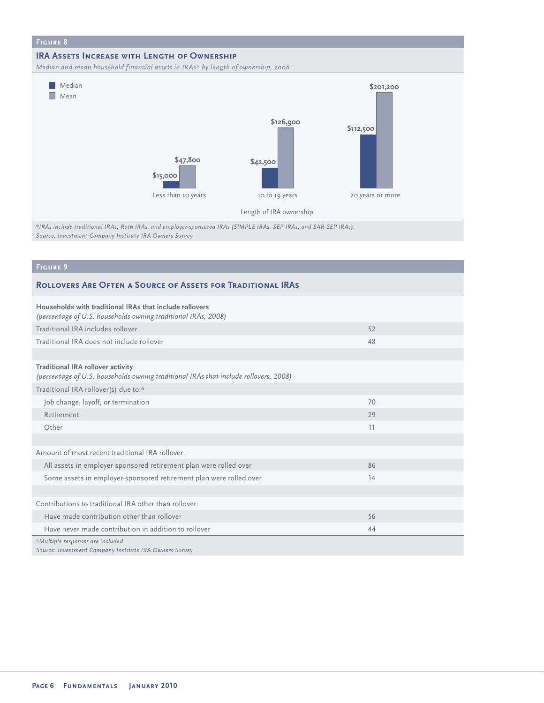

*\*IRAs include traditional IRAs, Roth IRAs, and employer-sponsored IRAs (SIMPLE IRAs, SEP IRAs, and SAR-SEP IRAs). Source: Investment Company Institute IRA Owners Survey* 

# **Figure 9**

#### **Rollovers Are Often a Source of Assets for Traditional IRAs**

| Households with traditional IRAs that include rollovers<br>(percentage of U.S. households owning traditional IRAs, 2008)         |    |  |
|----------------------------------------------------------------------------------------------------------------------------------|----|--|
| Traditional IRA includes rollover                                                                                                | 52 |  |
| Traditional IRA does not include rollover                                                                                        | 48 |  |
|                                                                                                                                  |    |  |
| <b>Traditional IRA rollover activity</b><br>(percentage of U.S. households owning traditional IRAs that include rollovers, 2008) |    |  |
| Traditional IRA rollover(s) due to:*                                                                                             |    |  |
| Job change, layoff, or termination                                                                                               | 70 |  |
| Retirement                                                                                                                       | 29 |  |
| Other                                                                                                                            | 11 |  |
|                                                                                                                                  |    |  |
| Amount of most recent traditional IRA rollover:                                                                                  |    |  |
| All assets in employer-sponsored retirement plan were rolled over                                                                | 86 |  |
| Some assets in employer-sponsored retirement plan were rolled over                                                               | 14 |  |
|                                                                                                                                  |    |  |
| Contributions to traditional IRA other than rollover:                                                                            |    |  |
| Have made contribution other than rollover                                                                                       | 56 |  |
| Have never made contribution in addition to rollover                                                                             | 44 |  |
| *Multiple responses are included.<br>Source: Investment Company Institute IRA Owners Survey                                      |    |  |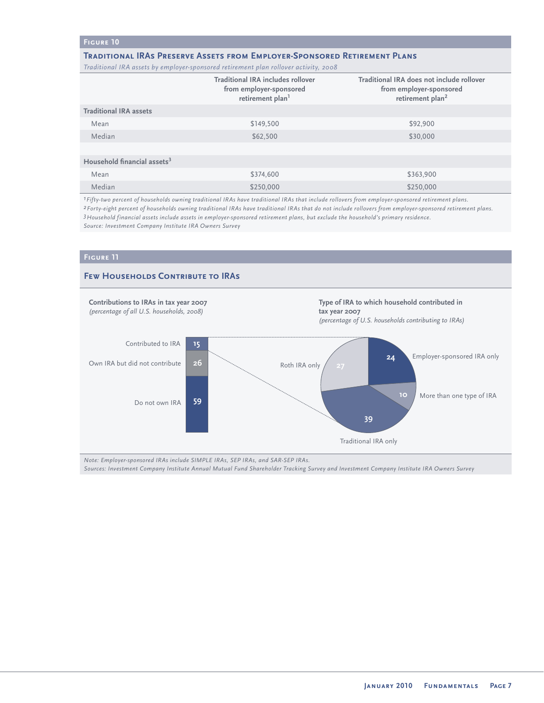#### **Figure 10**

#### **Traditional IRAs Preserve Assets from Employer-Sponsored Retirement Plans**

*Traditional IRA assets by employer-sponsored retirement plan rollover activity, 2008*

|                                         | <b>Traditional IRA includes rollover</b><br>from employer-sponsored<br>retirement plan <sup>1</sup> | Traditional IRA does not include rollover<br>from employer-sponsored<br>retirement plan <sup>2</sup> |
|-----------------------------------------|-----------------------------------------------------------------------------------------------------|------------------------------------------------------------------------------------------------------|
| <b>Traditional IRA assets</b>           |                                                                                                     |                                                                                                      |
| Mean                                    | \$149,500                                                                                           | \$92,900                                                                                             |
| Median                                  | \$62,500                                                                                            | \$30,000                                                                                             |
|                                         |                                                                                                     |                                                                                                      |
| Household financial assets <sup>3</sup> |                                                                                                     |                                                                                                      |
| Mean                                    | \$374,600                                                                                           | \$363,900                                                                                            |
| Median                                  | \$250,000                                                                                           | \$250,000                                                                                            |

*1Fifty-two percent of households owning traditional IRAs have traditional IRAs that include rollovers from employer-sponsored retirement plans.*

*2Forty-eight percent of households owning traditional IRAs have traditional IRAs that do not include rollovers from employer-sponsored retirement plans. 3Household financial assets include assets in employer-sponsored retirement plans, but exclude the household's primary residence. Source: Investment Company Institute IRA Owners Survey* 

#### **Figure 11**



*Note: Employer-sponsored IRAs include SIMPLE IRAs, SEP IRAs, and SAR-SEP IRAs.*

*Sources: Investment Company Institute Annual Mutual Fund Shareholder Tracking Survey and Investment Company Institute IRA Owners Survey*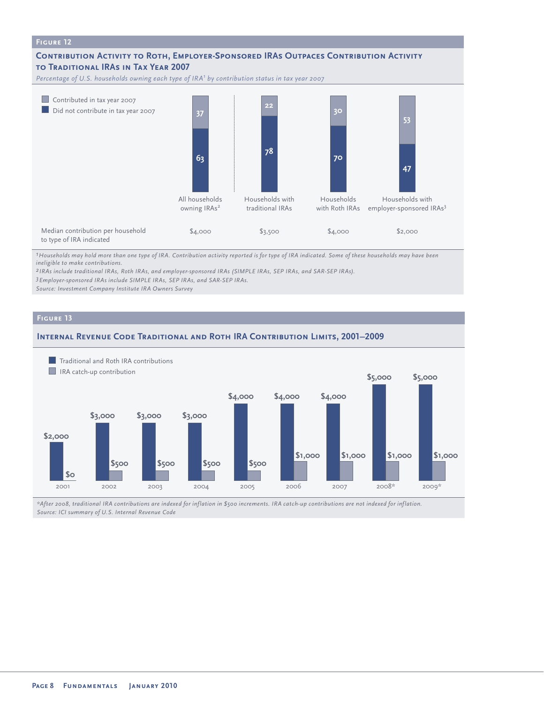

*1Households may hold more than one type of IRA. Contribution activity reported is for type of IRA indicated. Some of these households may have been ineligible to make contributions.*

*2 IRAs include traditional IRAs, Roth IRAs, and employer-sponsored IRAs (SIMPLE IRAs, SEP IRAs, and SAR-SEP IRAs).*

*3Employer-sponsored IRAs include SIMPLE IRAs, SEP IRAs, and SAR-SEP IRAs.*

*Source: Investment Company Institute IRA Owners Survey*

#### **Figure 13**





*\*After 2008, traditional IRA contributions are indexed for inflation in \$500 increments. IRA catch-up contributions are not indexed for inflation. Source: ICI summary of U.S. Internal Revenue Code*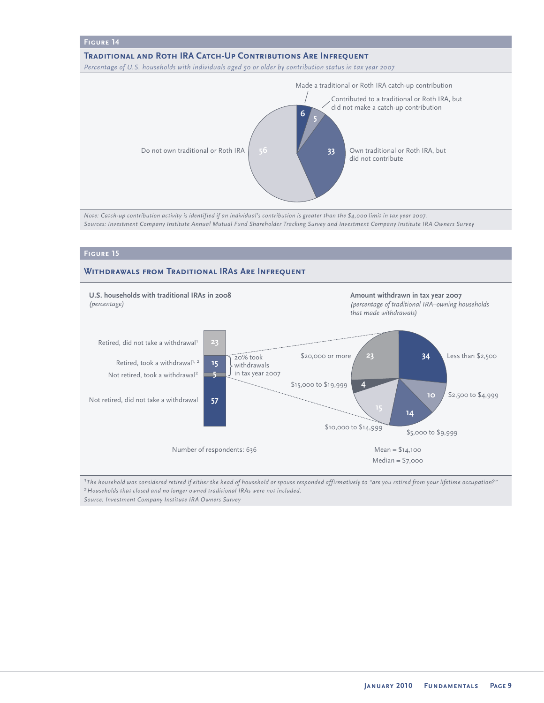

*Note: Catch-up contribution activity is identified if an individual's contribution is greater than the \$4,000 limit in tax year 2007. Sources: Investment Company Institute Annual Mutual Fund Shareholder Tracking Survey and Investment Company Institute IRA Owners Survey*

#### **Figure 15**

#### **Withdrawals from Traditional IRAs Are Infrequent**



*1The household was considered retired if either the head of household or spouse responded affirmatively to "are you retired from your lifetime occupation?" 2Households that closed and no longer owned traditional IRAs were not included. Source: Investment Company Institute IRA Owners Survey*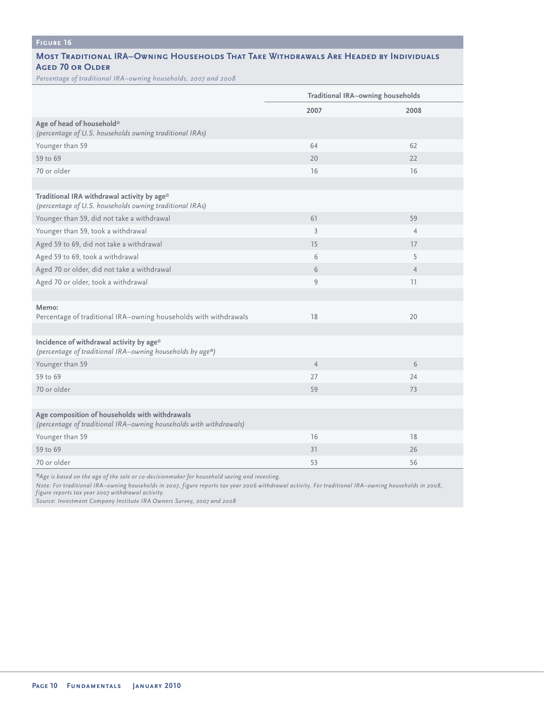# **Figure 16**

#### **Most Traditional IRA–Owning Households That Take Withdrawals Are Headed by Individuals Aged 70 or Older**

*Percentage of traditional IRA–owning households, 2007 and 2008*

|                                                                                                                      | <b>Traditional IRA-owning households</b> |                |
|----------------------------------------------------------------------------------------------------------------------|------------------------------------------|----------------|
|                                                                                                                      | 2007                                     | 2008           |
| Age of head of household*<br>(percentage of U.S. households owning traditional IRAs)                                 |                                          |                |
| Younger than 59                                                                                                      | 64                                       | 62             |
| 59 to 69                                                                                                             | 20                                       | 22             |
| 70 or older                                                                                                          | 16                                       | 16             |
|                                                                                                                      |                                          |                |
| Traditional IRA withdrawal activity by age*<br>(percentage of U.S. households owning traditional IRAs)               |                                          |                |
| Younger than 59, did not take a withdrawal                                                                           | 61                                       | 59             |
| Younger than 59, took a withdrawal                                                                                   | $\overline{3}$                           | $\overline{4}$ |
| Aged 59 to 69, did not take a withdrawal                                                                             | 15                                       | 17             |
| Aged 59 to 69, took a withdrawal                                                                                     | 6                                        | 5              |
| Aged 70 or older, did not take a withdrawal                                                                          | 6                                        | $\overline{4}$ |
| Aged 70 or older, took a withdrawal                                                                                  | $\overline{9}$                           | 11             |
|                                                                                                                      |                                          |                |
| Memo:<br>Percentage of traditional IRA-owning households with withdrawals                                            | 18                                       | 20             |
|                                                                                                                      |                                          |                |
| Incidence of withdrawal activity by age*<br>(percentage of traditional IRA-owning households by age*)                |                                          |                |
| Younger than 59                                                                                                      | $\overline{4}$                           | 6              |
| 59 to 69                                                                                                             | 27                                       | 24             |
| 70 or older                                                                                                          | 59                                       | 73             |
|                                                                                                                      |                                          |                |
| Age composition of households with withdrawals<br>(percentage of traditional IRA-owning households with withdrawals) |                                          |                |
| Younger than 59                                                                                                      | 16                                       | 18             |
| 59 to 69                                                                                                             | 31                                       | 26             |
| 70 or older                                                                                                          | 53                                       | 56             |

**\****Age is based on the age of the sole or co-decisionmaker for household saving and investing.*

*Note: For traditional IRA–owning households in 2007, figure reports tax year 2006 withdrawal activity. For traditional IRA–owning households in 2008, figure reports tax year 2007 withdrawal activity.*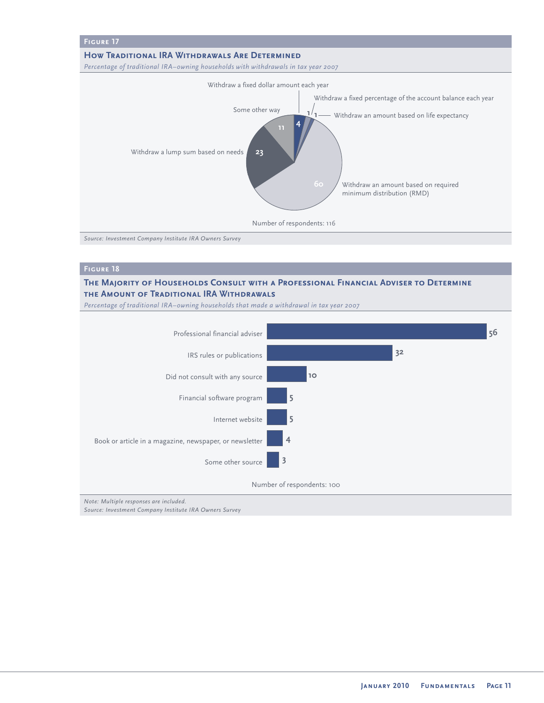

*Source: Investment Company Institute IRA Owners Survey* 

#### **The Majority of Households Consult with a Professional Financial Adviser to Determine the Amount of Traditional IRA Withdrawals**

*Percentage of traditional IRA–owning households that made a withdrawal in tax year 2007* 



*Note: Multiple responses are included.*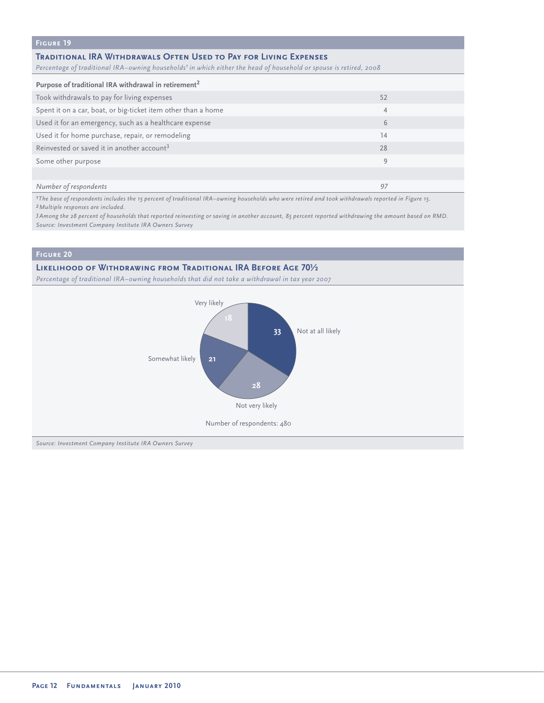# **Figure 19**

#### **Traditional IRA Withdrawals Often Used to Pay for Living Expenses**

*Percentage of traditional IRA–owning households<sup>1</sup> in which either the head of household or spouse is retired, 2008* 

| Purpose of traditional IRA withdrawal in retirement <sup>2</sup> |    |  |
|------------------------------------------------------------------|----|--|
| Took withdrawals to pay for living expenses                      | 52 |  |
| Spent it on a car, boat, or big-ticket item other than a home    | 4  |  |
| Used it for an emergency, such as a healthcare expense           | 6  |  |
| Used it for home purchase, repair, or remodeling                 | 14 |  |
| Reinvested or saved it in another account <sup>3</sup>           | 28 |  |
| Some other purpose                                               | 9  |  |
|                                                                  |    |  |
| Number of respondents                                            | 97 |  |

*1The base of respondents includes the 15 percent of traditional IRA–owning households who were retired and took withdrawals reported in Figure 15. 2Multiple responses are included.*

*3Among the 28 percent of households that reported reinvesting or saving in another account, 85 percent reported withdrawing the amount based on RMD. Source: Investment Company Institute IRA Owners Survey* 

#### **Figure 20**

#### **Likelihood of Withdrawing from Traditional IRA Before Age 70½**

*Percentage of traditional IRA–owning households that did not take a withdrawal in tax year 2007*

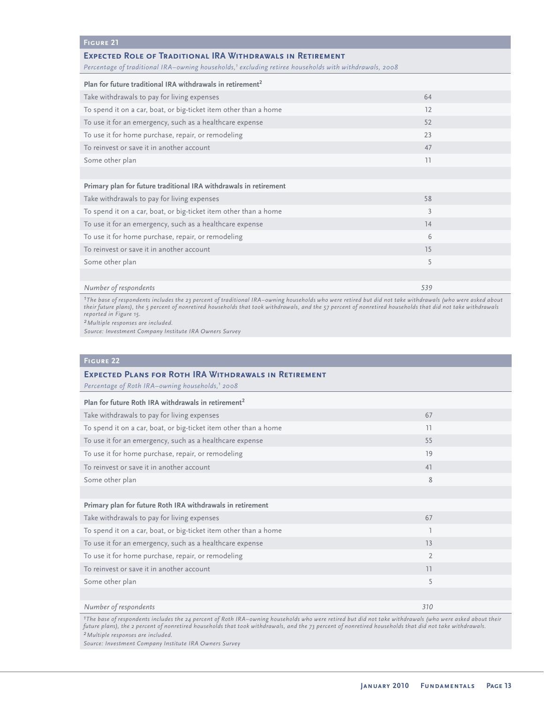#### **Figure 21**

#### **Expected Role of Traditional IRA Withdrawals in Retirement**

Percentage of traditional IRA-owning households,<sup>1</sup> excluding retiree households with withdrawals, 2008

| Plan for future traditional IRA withdrawals in retirement <sup>2</sup> |     |  |
|------------------------------------------------------------------------|-----|--|
| Take withdrawals to pay for living expenses                            | 64  |  |
| To spend it on a car, boat, or big-ticket item other than a home       | 12  |  |
| To use it for an emergency, such as a healthcare expense               | 52  |  |
| To use it for home purchase, repair, or remodeling                     | 23  |  |
| To reinvest or save it in another account                              | 47  |  |
| Some other plan                                                        | 11  |  |
|                                                                        |     |  |
| Primary plan for future traditional IRA withdrawals in retirement      |     |  |
| Take withdrawals to pay for living expenses                            | 58  |  |
| To spend it on a car, boat, or big-ticket item other than a home       | 3   |  |
| To use it for an emergency, such as a healthcare expense               | 14  |  |
| To use it for home purchase, repair, or remodeling                     | 6   |  |
| To reinvest or save it in another account                              | 15  |  |
| Some other plan                                                        | 5   |  |
|                                                                        |     |  |
| Number of respondents                                                  | 539 |  |

*1The base of respondents includes the 23 percent of traditional IRA–owning households who were retired but did not take withdrawals (who were asked about their future plans), the 5 percent of nonretired households that took withdrawals, and the 57 percent of nonretired households that did not take withdrawals reported in Figure 15.*

*2Multiple responses are included.*

*Source: Investment Company Institute IRA Owners Survey* 

#### **Figure 22**

# **Expected Plans for Roth IRA Withdrawals in Retirement** *Percentage of Roth IRA–owning households,1 2008* **Plan for future Roth IRA withdrawals in retirement<sup>2</sup>** Take withdrawals to pay for living expenses 67 and 10 minutes for the control of the control of the control of the control of the control of the control of the control of the control of the control of the control of the co To spend it on a car, boat, or big-ticket item other than a home 11 minutes of the 11 minutes of the 11 minutes of  $11$ To use it for an emergency, such as a healthcare expense 55  $\sim$  55  $\sim$  55  $\sim$  55 To use it for home purchase, repair, or remodeling 19 and 19 and 19 and 19 and 19 and 19 and 19 and 19 and 19 and 19 and 19 and 19 and 19 and 19 and 19 and 19 and 19 and 19 and 19 and 19 and 19 and 19 and 19 and 19 and 19 To reinvest or save it in another account 41 Some other plan 8 and 8 and 8 and 8 and 8 and 8 and 8 and 8 and 8 and 8 and 8 and 8 and 8 and 8 and 8 and 8 and 8 and 8 and 8 and 8 and 8 and 8 and 8 and 8 and 8 and 8 and 8 and 8 and 8 and 8 and 8 and 8 and 8 and 8 and 8 **Primary plan for future Roth IRA withdrawals in retirement** Take withdrawals to pay for living expenses 67 and 100 minutes for the control of the control of the control of the control of the control of the control of the control of the control of the control of the control of the c To spend it on a car, boat, or big-ticket item other than a home 1 To use it for an emergency, such as a healthcare expense 13 and 13 and 13 and 13 and 13 and 13 and 13 and 13 and 13 and 13 and 13 and 13 and 13 and 13 and 13 and 13 and 13 and 13 and 13 and 13 and 13 and 13 and 13 and 13 a To use it for home purchase, repair, or remodeling 2 2 To reinvest or save it in another account 11 Some other plan 5 Some of the United States and the United States and the United States and States and States and States and States and States and States and States and States and States and States and States and States an

*Number of respondents 310*

*1The base of respondents includes the 24 percent of Roth IRA–owning households who were retired but did not take withdrawals (who were asked about their future plans), the 2 percent of nonretired households that took withdrawals, and the 73 percent of nonretired households that did not take withdrawals. 2Multiple responses are included.*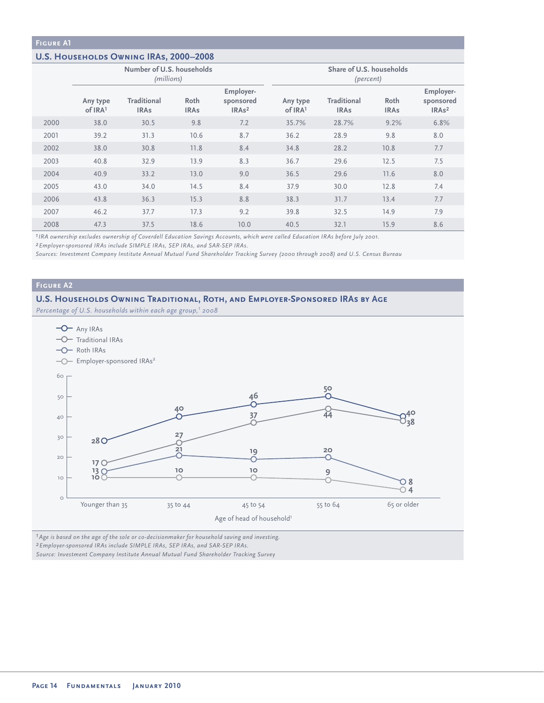#### **U.S. Households Owning IRAs, 2000–2008**

|      | Number of U.S. households<br>(millions) |                                   |                     | Share of U.S. households<br>(percent)                   |                     |                            |                     |                                                         |
|------|-----------------------------------------|-----------------------------------|---------------------|---------------------------------------------------------|---------------------|----------------------------|---------------------|---------------------------------------------------------|
|      | Any type<br>of IRA1                     | <b>Traditional</b><br><b>IRAs</b> | Roth<br><b>IRAs</b> | Employer-<br>sponsored<br>IRA <sub>s</sub> <sup>2</sup> | Any type<br>of IRA1 | Traditional<br><b>IRAs</b> | Roth<br><b>IRAs</b> | Employer-<br>sponsored<br>IRA <sub>s</sub> <sup>2</sup> |
| 2000 | 38.0                                    | 30.5                              | 9.8                 | 7.2                                                     | 35.7%               | 28.7%                      | 9.2%                | 6.8%                                                    |
| 2001 | 39.2                                    | 31.3                              | 10.6                | 8.7                                                     | 36.2                | 28.9                       | 9.8                 | 8.0                                                     |
| 2002 | 38.0                                    | 30.8                              | 11.8                | 8.4                                                     | 34.8                | 28.2                       | 10.8                | 7.7                                                     |
| 2003 | 40.8                                    | 32.9                              | 13.9                | 8.3                                                     | 36.7                | 29.6                       | 12.5                | 7.5                                                     |
| 2004 | 40.9                                    | 33.2                              | 13.0                | 9.0                                                     | 36.5                | 29.6                       | 11.6                | 8.0                                                     |
| 2005 | 43.0                                    | 34.0                              | 14.5                | 8.4                                                     | 37.9                | 30.0                       | 12.8                | 7.4                                                     |
| 2006 | 43.8                                    | 36.3                              | 15.3                | 8.8                                                     | 38.3                | 31.7                       | 13.4                | 7.7                                                     |
| 2007 | 46.2                                    | 37.7                              | 17.3                | 9.2                                                     | 39.8                | 32.5                       | 14.9                | 7.9                                                     |
| 2008 | 47.3                                    | 37.5                              | 18.6                | 10.0                                                    | 40.5                | 32.1                       | 15.9                | 8.6                                                     |

*1IRA ownership excludes ownership of Coverdell Education Savings Accounts, which were called Education IRAs before July 2001.*

*2Employer-sponsored IRAs include SIMPLE IRAs, SEP IRAs, and SAR-SEP IRAs.*

*Sources: Investment Company Institute Annual Mutual Fund Shareholder Tracking Survey (2000 through 2008) and U.S. Census Bureau*

#### **Figure A2**

#### **U.S. Households Owning Traditional, Roth, and Employer-Sponsored IRAs by Age**

*Percentage of U.S. households within each age group,<sup>1</sup> 2008* 



*1Age is based on the age of the sole or co-decisionmaker for household saving and investing.*

*2Employer-sponsored IRAs include SIMPLE IRAs, SEP IRAs, and SAR-SEP IRAs.*

*Source: Investment Company Institute Annual Mutual Fund Shareholder Tracking Survey*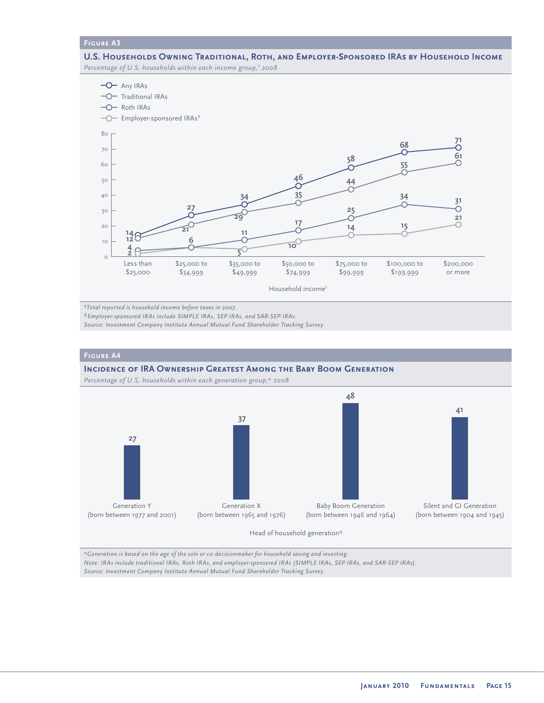**U.S. Households Owning Traditional, Roth, and Employer-Sponsored IRAs by Household Income** *Percentage of U.S. households within each income group,<sup>1</sup> 2008* 



*1Total reported is household income before taxes in 2007.*

*2Employer-sponsored IRAs include SIMPLE IRAs, SEP IRAs, and SAR-SEP IRAs.*

*Source: Investment Company Institute Annual Mutual Fund Shareholder Tracking Survey* 



*\*Generation is based on the age of the sole or co-decisionmaker for household saving and investing. Note: IRAs include traditional IRAs, Roth IRAs, and employer-sponsored IRAs (SIMPLE IRAs, SEP IRAs, and SAR-SEP IRAs). Source: Investment Company Institute Annual Mutual Fund Shareholder Tracking Survey*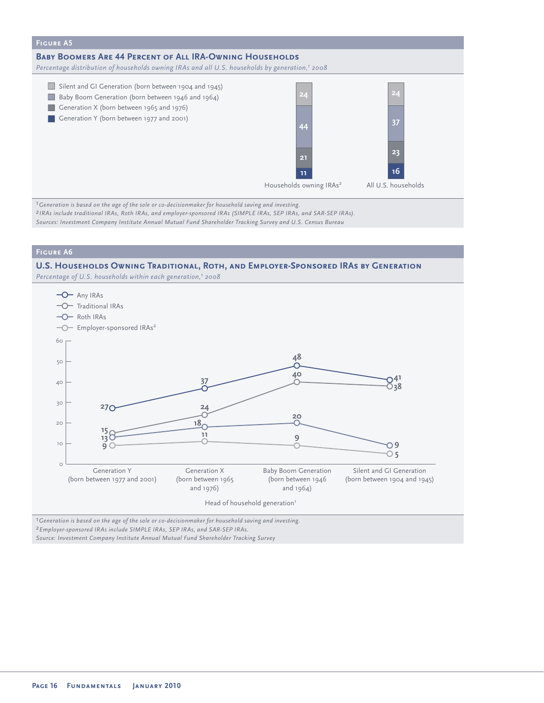

*1Generation is based on the age of the sole or co-decisionmaker for household saving and investing. 2 IRAs include traditional IRAs, Roth IRAs, and employer-sponsored IRAs (SIMPLE IRAs, SEP IRAs, and SAR-SEP IRAs). Sources: Investment Company Institute Annual Mutual Fund Shareholder Tracking Survey and U.S. Census Bureau* 

#### **Figure A6**

#### **U.S. Households Owning Traditional, Roth, and Employer-Sponsored IRAs by Generation**

*Percentage of U.S. households within each generation,1 2008* 



*2Employer-sponsored IRAs include SIMPLE IRAs, SEP IRAs, and SAR-SEP IRAs.*

*Source: Investment Company Institute Annual Mutual Fund Shareholder Tracking Survey*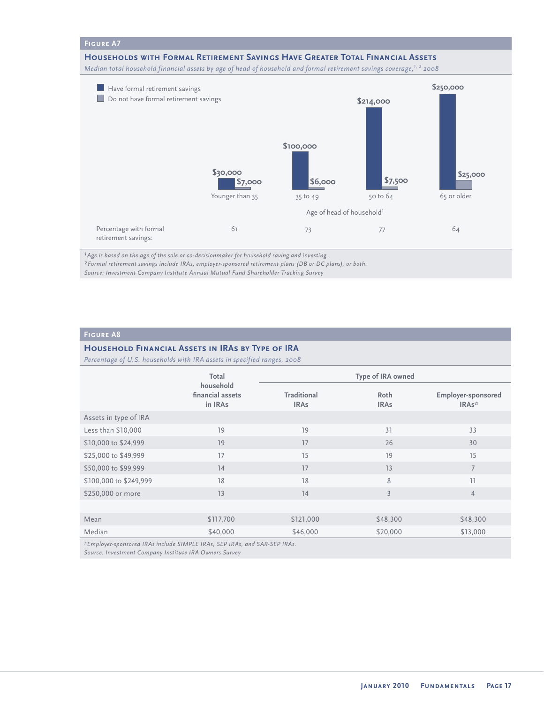#### **Households with Formal Retirement Savings Have Greater Total Financial Assets**

*Median total household financial assets by age of head of household and formal retirement savings coverage,1, 2 2008*



*1Age is based on the age of the sole or co-decisionmaker for household saving and investing.*

*2Formal retirement savings include IRAs, employer-sponsored retirement plans (DB or DC plans), or both.*

*Source: Investment Company Institute Annual Mutual Fund Shareholder Tracking Survey* 

#### **Figure A8**

#### **Household Financial Assets in IRAs by Type of IRA**

*Percentage of U.S. households with IRA assets in specified ranges, 2008*

|                        | Total                                                                                                                                                                                                                                                                                      | Type of IRA owned                 |                     |                                    |  |
|------------------------|--------------------------------------------------------------------------------------------------------------------------------------------------------------------------------------------------------------------------------------------------------------------------------------------|-----------------------------------|---------------------|------------------------------------|--|
|                        | household<br>financial assets<br>in IRAs                                                                                                                                                                                                                                                   | <b>Traditional</b><br><b>IRAs</b> | Roth<br><b>IRAs</b> | <b>Employer-sponsored</b><br>IRAs* |  |
| Assets in type of IRA  |                                                                                                                                                                                                                                                                                            |                                   |                     |                                    |  |
| Less than \$10,000     | 19                                                                                                                                                                                                                                                                                         | 19                                | 31                  | 33                                 |  |
| \$10,000 to \$24,999   | 19                                                                                                                                                                                                                                                                                         | 17                                | 26                  | 30                                 |  |
| \$25,000 to \$49,999   | 17                                                                                                                                                                                                                                                                                         | 15                                | 19                  | 15                                 |  |
| \$50,000 to \$99,999   | 14                                                                                                                                                                                                                                                                                         | 17                                | 13                  | $\overline{7}$                     |  |
| \$100,000 to \$249,999 | 18                                                                                                                                                                                                                                                                                         | 18                                | 8                   | 11                                 |  |
| \$250,000 or more      | 13                                                                                                                                                                                                                                                                                         | 14                                | $\overline{3}$      | $\overline{4}$                     |  |
|                        |                                                                                                                                                                                                                                                                                            |                                   |                     |                                    |  |
| Mean                   | \$117,700                                                                                                                                                                                                                                                                                  | \$121,000                         | \$48,300            | \$48,300                           |  |
| Median                 | \$40,000                                                                                                                                                                                                                                                                                   | \$46,000                          | \$20,000            | \$13,000                           |  |
|                        | $*F_{t}$ and $\frac{1}{2}$ and $\frac{1}{2}$ and $\frac{1}{2}$ and $\frac{1}{2}$ and $\frac{1}{2}$ and $\frac{1}{2}$ and $\frac{1}{2}$ and $\frac{1}{2}$ and $\frac{1}{2}$ and $\frac{1}{2}$ and $\frac{1}{2}$ and $\frac{1}{2}$ and $\frac{1}{2}$ and $\frac{1}{2}$ and $\frac{1}{2}$ and |                                   |                     |                                    |  |

*\*Employer-sponsored IRAs include SIMPLE IRAs, SEP IRAs, and SAR-SEP IRAs.*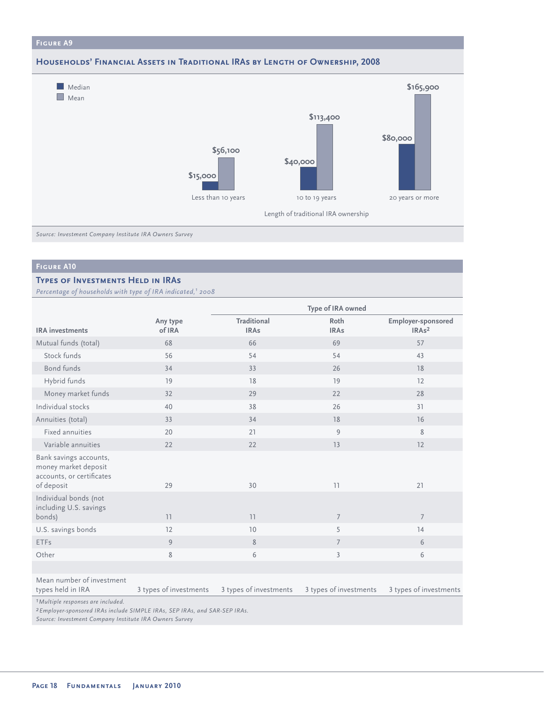#### **Households' Financial Assets in Traditional IRAs by Length of Ownership, 2008**



*Source: Investment Company Institute IRA Owners Survey*

#### **Figure A10**

#### **TYPES OF INVESTMENTS HELD IN IRAS**

*Percentage of households with type of IRA indicated,1 2008*

|                                                                                           |                        | Type of IRA owned          |                        |                                                 |  |
|-------------------------------------------------------------------------------------------|------------------------|----------------------------|------------------------|-------------------------------------------------|--|
| <b>IRA</b> investments                                                                    | Any type<br>of IRA     | Traditional<br><b>IRAs</b> | Roth<br><b>IRAs</b>    | <b>Employer-sponsored</b><br>IRA <sub>s</sub> 2 |  |
| Mutual funds (total)                                                                      | 68                     | 66                         | 69                     | 57                                              |  |
| Stock funds                                                                               | 56                     | 54                         | 54                     | 43                                              |  |
| Bond funds                                                                                | 34                     | 33                         | 26                     | 18                                              |  |
| Hybrid funds                                                                              | 19                     | 18                         | 19                     | 12                                              |  |
| Money market funds                                                                        | 32                     | 29                         | 22                     | 28                                              |  |
| Individual stocks                                                                         | 40                     | 38                         | 26                     | 31                                              |  |
| Annuities (total)                                                                         | 33                     | 34                         | 18                     | 16                                              |  |
| <b>Fixed annuities</b>                                                                    | 20                     | 21                         | 9                      | 8                                               |  |
| Variable annuities                                                                        | 22                     | 22                         | 13                     | 12                                              |  |
| Bank savings accounts,<br>money market deposit<br>accounts, or certificates<br>of deposit | 29                     | 30                         | 11                     | 21                                              |  |
| Individual bonds (not<br>including U.S. savings<br>bonds)                                 | 11                     | 11                         | $\overline{7}$         | $\overline{7}$                                  |  |
| U.S. savings bonds                                                                        | 12                     | 10                         | 5                      | 14                                              |  |
| <b>ETFs</b>                                                                               | 9                      | 8                          | $\overline{7}$         | 6                                               |  |
| Other                                                                                     | 8                      | 6                          | $\overline{3}$         | 6                                               |  |
|                                                                                           |                        |                            |                        |                                                 |  |
| Mean number of investment<br>types held in IRA<br>$7.8.4 \pm 1.2.1$<br>$\cdots$ $\cdots$  | 3 types of investments | 3 types of investments     | 3 types of investments | 3 types of investments                          |  |

*1Multiple responses are included.*

*2Employer-sponsored IRAs include SIMPLE IRAs, SEP IRAs, and SAR-SEP IRAs.*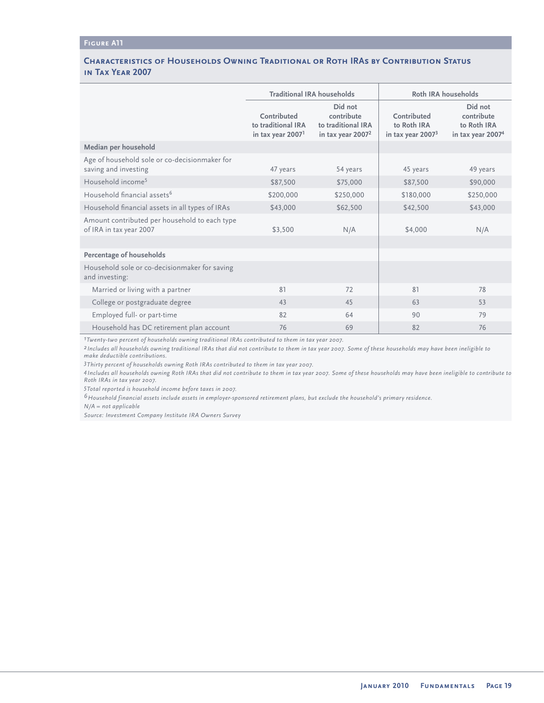#### **Characteristics of Households Owning Traditional or Roth IRAs by Contribution Status in Tax Year 2007**

|                                                                          | <b>Traditional IRA households</b>                                  |                                                                    | Roth IRA households                               |                                                                       |  |
|--------------------------------------------------------------------------|--------------------------------------------------------------------|--------------------------------------------------------------------|---------------------------------------------------|-----------------------------------------------------------------------|--|
|                                                                          | Contributed<br>to traditional IRA<br>in tax year 2007 <sup>1</sup> | Did not<br>contribute<br>to traditional IRA<br>in tax year $20072$ | Contributed<br>to Roth IRA<br>in tax year $20073$ | Did not<br>contribute<br>to Roth IRA<br>in tax year 2007 <sup>4</sup> |  |
| Median per household                                                     |                                                                    |                                                                    |                                                   |                                                                       |  |
| Age of household sole or co-decisionmaker for<br>saving and investing    | 47 years                                                           | 54 years                                                           | 45 years                                          | 49 years                                                              |  |
| Household income <sup>5</sup>                                            | \$87,500                                                           | \$75,000                                                           | \$87,500                                          | \$90,000                                                              |  |
| Household financial assets <sup>6</sup>                                  | \$200,000                                                          | \$250,000                                                          | \$180,000                                         | \$250,000                                                             |  |
| Household financial assets in all types of IRAs                          | \$43,000                                                           | \$62,500                                                           | \$42,500                                          | \$43,000                                                              |  |
| Amount contributed per household to each type<br>of IRA in tax year 2007 | \$3,500                                                            | N/A                                                                | \$4,000                                           | N/A                                                                   |  |
|                                                                          |                                                                    |                                                                    |                                                   |                                                                       |  |
| Percentage of households                                                 |                                                                    |                                                                    |                                                   |                                                                       |  |
| Household sole or co-decisionmaker for saving<br>and investing:          |                                                                    |                                                                    |                                                   |                                                                       |  |
| Married or living with a partner                                         | 81                                                                 | 72                                                                 | 81                                                | 78                                                                    |  |
| College or postgraduate degree                                           | 43                                                                 | 45                                                                 | 63                                                | 53                                                                    |  |
| Employed full- or part-time                                              | 82                                                                 | 64                                                                 | 90                                                | 79                                                                    |  |
| Household has DC retirement plan account                                 | 76                                                                 | 69                                                                 | 82                                                | 76                                                                    |  |

*1Twenty-two percent of households owning traditional IRAs contributed to them in tax year 2007.*

*2 Includes all households owning traditional IRAs that did not contribute to them in tax year 2007. Some of these households may have been ineligible to make deductible contributions.*

*3Thirty percent of households owning Roth IRAs contributed to them in tax year 2007.*

*4Includes all households owning Roth IRAs that did not contribute to them in tax year 2007. Some of these households may have been ineligible to contribute to Roth IRAs in tax year 2007.* 

*5Total reported is household income before taxes in 2007.*

*6Household financial assets include assets in employer-sponsored retirement plans, but exclude the household's primary residence.*

*N/A = not applicable*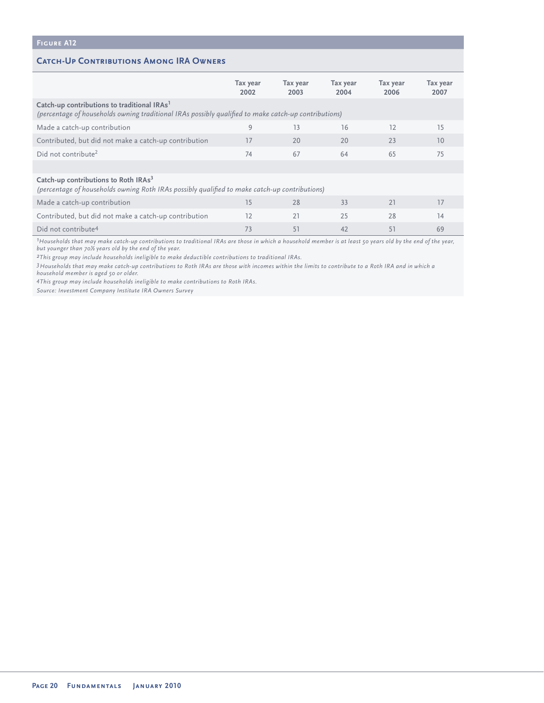#### **Catch-Up Contributions Among IRA Owners**

|                                                                                                                                                                 | Tax year<br>2002 | Tax year<br>2003 | Tax year<br>2004 | Tax year<br>2006 | Tax year<br>2007 |
|-----------------------------------------------------------------------------------------------------------------------------------------------------------------|------------------|------------------|------------------|------------------|------------------|
| Catch-up contributions to traditional IRAs <sup>1</sup><br>(percentage of households owning traditional IRAs possibly qualified to make catch-up contributions) |                  |                  |                  |                  |                  |
| Made a catch-up contribution                                                                                                                                    | 9                | 13               | 16               | 12               | 15               |
| Contributed, but did not make a catch-up contribution                                                                                                           | 17               | 20               | 20               | 23               | 10               |
| Did not contribute <sup>2</sup>                                                                                                                                 | 74               | 67               | 64               | 65               | 75               |
|                                                                                                                                                                 |                  |                  |                  |                  |                  |
| Catch-up contributions to Roth IRAs <sup>3</sup><br>(percentage of households owning Roth IRAs possibly qualified to make catch-up contributions)               |                  |                  |                  |                  |                  |
| Made a catch-up contribution                                                                                                                                    | 15               | 28               | 33               | 21               | 17               |
| Contributed, but did not make a catch-up contribution                                                                                                           | 12               | 21               | 25               | 28               | 14               |
| Did not contribute <sup>4</sup>                                                                                                                                 | 73               | 51               | 42               | 51               | 69               |

*1Households that may make catch-up contributions to traditional IRAs are those in which a household member is at least 50 years old by the end of the year, but younger than 70½ years old by the end of the year.*

*2This group may include households ineligible to make deductible contributions to traditional IRAs.* 

*3Households that may make catch-up contributions to Roth IRAs are those with incomes within the limits to contribute to a Roth IRA and in which a household member is aged 50 or older.* 

*4This group may include households ineligible to make contributions to Roth IRAs.*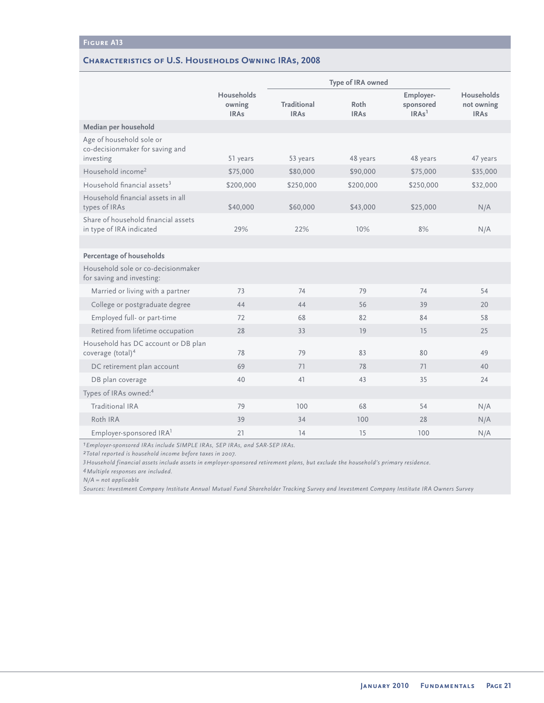#### **Characteristics of U.S. Households Owning IRAs, 2008**

|                                                                          |                                            | Type of IRA owned          |                     |                                             |                                         |
|--------------------------------------------------------------------------|--------------------------------------------|----------------------------|---------------------|---------------------------------------------|-----------------------------------------|
|                                                                          | <b>Households</b><br>owning<br><b>IRAs</b> | Traditional<br><b>IRAs</b> | Roth<br><b>IRAs</b> | Employer-<br>sponsored<br>IRAs <sup>1</sup> | Households<br>not owning<br><b>IRAs</b> |
| Median per household                                                     |                                            |                            |                     |                                             |                                         |
| Age of household sole or<br>co-decisionmaker for saving and<br>investing | 51 years                                   | 53 years                   | 48 years            | 48 years                                    | 47 years                                |
| Household income <sup>2</sup>                                            | \$75,000                                   | \$80,000                   | \$90,000            | \$75,000                                    | \$35,000                                |
| Household financial assets <sup>3</sup>                                  | \$200,000                                  | \$250,000                  | \$200,000           | \$250,000                                   | \$32,000                                |
| Household financial assets in all<br>types of IRAs                       | \$40,000                                   | \$60,000                   | \$43,000            | \$25,000                                    | N/A                                     |
| Share of household financial assets<br>in type of IRA indicated          | 29%                                        | 22%                        | 10%                 | 8%                                          | N/A                                     |
|                                                                          |                                            |                            |                     |                                             |                                         |
| <b>Percentage of households</b>                                          |                                            |                            |                     |                                             |                                         |
| Household sole or co-decisionmaker<br>for saving and investing:          |                                            |                            |                     |                                             |                                         |
| Married or living with a partner                                         | 73                                         | 74                         | 79                  | 74                                          | 54                                      |
| College or postgraduate degree                                           | 44                                         | 44                         | 56                  | 39                                          | 20                                      |
| Employed full- or part-time                                              | 72                                         | 68                         | 82                  | 84                                          | 58                                      |
| Retired from lifetime occupation                                         | 28                                         | 33                         | 19                  | 15                                          | 25                                      |
| Household has DC account or DB plan<br>coverage (total) <sup>4</sup>     | 78                                         | 79                         | 83                  | 80                                          | 49                                      |
| DC retirement plan account                                               | 69                                         | 71                         | 78                  | 71                                          | 40                                      |
| DB plan coverage                                                         | 40                                         | 41                         | 43                  | 35                                          | 24                                      |
| Types of IRAs owned: <sup>4</sup>                                        |                                            |                            |                     |                                             |                                         |
| Traditional IRA                                                          | 79                                         | 100                        | 68                  | 54                                          | N/A                                     |
| Roth IRA                                                                 | 39                                         | 34                         | 100                 | 28                                          | N/A                                     |
| Employer-sponsored IRA <sup>1</sup>                                      | 21                                         | 14                         | 15                  | 100                                         | N/A                                     |

*1Employer-sponsored IRAs include SIMPLE IRAs, SEP IRAs, and SAR-SEP IRAs.*

*2Total reported is household income before taxes in 2007.*

*3Household financial assets include assets in employer-sponsored retirement plans, but exclude the household's primary residence.*

*4Multiple responses are included.* 

*N/A = not applicable*

*Sources: Investment Company Institute Annual Mutual Fund Shareholder Tracking Survey and Investment Company Institute IRA Owners Survey*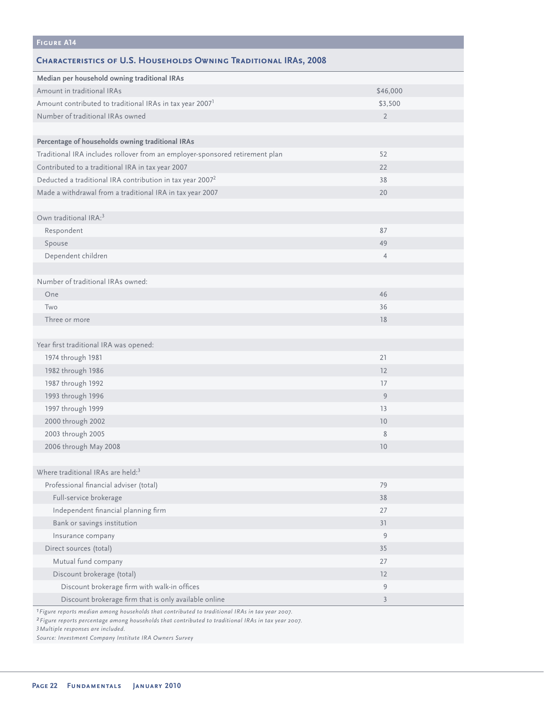| <b>CHARACTERISTICS OF U.S. HOUSEHOLDS OWNING TRADITIONAL IRAS, 2008</b><br>Median per household owning traditional IRAs<br>Amount in traditional IRAs<br>\$46,000<br>Amount contributed to traditional IRAs in tax year 2007 <sup>1</sup><br>\$3,500<br>Number of traditional IRAs owned<br>$\overline{2}$<br>Percentage of households owning traditional IRAs<br>Traditional IRA includes rollover from an employer-sponsored retirement plan<br>52<br>Contributed to a traditional IRA in tax year 2007<br>22<br>Deducted a traditional IRA contribution in tax year 2007 <sup>2</sup><br>38<br>Made a withdrawal from a traditional IRA in tax year 2007<br>20<br>Own traditional IRA: <sup>3</sup> |
|--------------------------------------------------------------------------------------------------------------------------------------------------------------------------------------------------------------------------------------------------------------------------------------------------------------------------------------------------------------------------------------------------------------------------------------------------------------------------------------------------------------------------------------------------------------------------------------------------------------------------------------------------------------------------------------------------------|
|                                                                                                                                                                                                                                                                                                                                                                                                                                                                                                                                                                                                                                                                                                        |
|                                                                                                                                                                                                                                                                                                                                                                                                                                                                                                                                                                                                                                                                                                        |
|                                                                                                                                                                                                                                                                                                                                                                                                                                                                                                                                                                                                                                                                                                        |
|                                                                                                                                                                                                                                                                                                                                                                                                                                                                                                                                                                                                                                                                                                        |
|                                                                                                                                                                                                                                                                                                                                                                                                                                                                                                                                                                                                                                                                                                        |
|                                                                                                                                                                                                                                                                                                                                                                                                                                                                                                                                                                                                                                                                                                        |
|                                                                                                                                                                                                                                                                                                                                                                                                                                                                                                                                                                                                                                                                                                        |
|                                                                                                                                                                                                                                                                                                                                                                                                                                                                                                                                                                                                                                                                                                        |
|                                                                                                                                                                                                                                                                                                                                                                                                                                                                                                                                                                                                                                                                                                        |
|                                                                                                                                                                                                                                                                                                                                                                                                                                                                                                                                                                                                                                                                                                        |
|                                                                                                                                                                                                                                                                                                                                                                                                                                                                                                                                                                                                                                                                                                        |
|                                                                                                                                                                                                                                                                                                                                                                                                                                                                                                                                                                                                                                                                                                        |
|                                                                                                                                                                                                                                                                                                                                                                                                                                                                                                                                                                                                                                                                                                        |
| 87<br>Respondent                                                                                                                                                                                                                                                                                                                                                                                                                                                                                                                                                                                                                                                                                       |
| Spouse<br>49                                                                                                                                                                                                                                                                                                                                                                                                                                                                                                                                                                                                                                                                                           |
| Dependent children<br>$\overline{4}$                                                                                                                                                                                                                                                                                                                                                                                                                                                                                                                                                                                                                                                                   |
|                                                                                                                                                                                                                                                                                                                                                                                                                                                                                                                                                                                                                                                                                                        |
| Number of traditional IRAs owned:                                                                                                                                                                                                                                                                                                                                                                                                                                                                                                                                                                                                                                                                      |
| One<br>46                                                                                                                                                                                                                                                                                                                                                                                                                                                                                                                                                                                                                                                                                              |
| 36<br>Two                                                                                                                                                                                                                                                                                                                                                                                                                                                                                                                                                                                                                                                                                              |
| Three or more<br>18                                                                                                                                                                                                                                                                                                                                                                                                                                                                                                                                                                                                                                                                                    |
|                                                                                                                                                                                                                                                                                                                                                                                                                                                                                                                                                                                                                                                                                                        |
| Year first traditional IRA was opened:                                                                                                                                                                                                                                                                                                                                                                                                                                                                                                                                                                                                                                                                 |
| 1974 through 1981<br>21                                                                                                                                                                                                                                                                                                                                                                                                                                                                                                                                                                                                                                                                                |
| 1982 through 1986<br>12                                                                                                                                                                                                                                                                                                                                                                                                                                                                                                                                                                                                                                                                                |
| 1987 through 1992<br>17                                                                                                                                                                                                                                                                                                                                                                                                                                                                                                                                                                                                                                                                                |
| 1993 through 1996<br>9                                                                                                                                                                                                                                                                                                                                                                                                                                                                                                                                                                                                                                                                                 |
| 1997 through 1999<br>13                                                                                                                                                                                                                                                                                                                                                                                                                                                                                                                                                                                                                                                                                |
| 2000 through 2002<br>10                                                                                                                                                                                                                                                                                                                                                                                                                                                                                                                                                                                                                                                                                |
| 8<br>2003 through 2005                                                                                                                                                                                                                                                                                                                                                                                                                                                                                                                                                                                                                                                                                 |
| 2006 through May 2008<br>10                                                                                                                                                                                                                                                                                                                                                                                                                                                                                                                                                                                                                                                                            |
|                                                                                                                                                                                                                                                                                                                                                                                                                                                                                                                                                                                                                                                                                                        |
| Where traditional IRAs are held: <sup>3</sup>                                                                                                                                                                                                                                                                                                                                                                                                                                                                                                                                                                                                                                                          |
| Professional financial adviser (total)<br>79                                                                                                                                                                                                                                                                                                                                                                                                                                                                                                                                                                                                                                                           |
| Full-service brokerage<br>38                                                                                                                                                                                                                                                                                                                                                                                                                                                                                                                                                                                                                                                                           |
| Independent financial planning firm<br>27                                                                                                                                                                                                                                                                                                                                                                                                                                                                                                                                                                                                                                                              |
| Bank or savings institution<br>31                                                                                                                                                                                                                                                                                                                                                                                                                                                                                                                                                                                                                                                                      |
| 9<br>Insurance company                                                                                                                                                                                                                                                                                                                                                                                                                                                                                                                                                                                                                                                                                 |
| Direct sources (total)<br>35                                                                                                                                                                                                                                                                                                                                                                                                                                                                                                                                                                                                                                                                           |
| Mutual fund company<br>27                                                                                                                                                                                                                                                                                                                                                                                                                                                                                                                                                                                                                                                                              |
| Discount brokerage (total)<br>12                                                                                                                                                                                                                                                                                                                                                                                                                                                                                                                                                                                                                                                                       |
| Discount brokerage firm with walk-in offices<br>9                                                                                                                                                                                                                                                                                                                                                                                                                                                                                                                                                                                                                                                      |
| Discount brokerage firm that is only available online<br>3                                                                                                                                                                                                                                                                                                                                                                                                                                                                                                                                                                                                                                             |

*1Figure reports median among households that contributed to traditional IRAs in tax year 2007.*

*2Figure reports percentage among households that contributed to traditional IRAs in tax year 2007.*

*3Multiple responses are included.*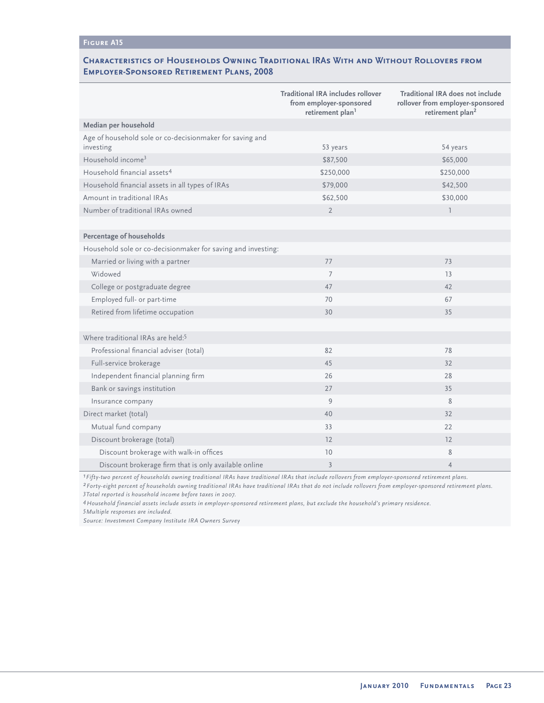### **Characteristics of Households Owning Traditional IRAs With and Without Rollovers from Employer-Sponsored Retirement Plans, 2008**

|                                                                       | Traditional IRA includes rollover<br>from employer-sponsored<br>retirement plan <sup>1</sup> | Traditional IRA does not include<br>rollover from employer-sponsored<br>retirement plan <sup>2</sup> |
|-----------------------------------------------------------------------|----------------------------------------------------------------------------------------------|------------------------------------------------------------------------------------------------------|
| Median per household                                                  |                                                                                              |                                                                                                      |
| Age of household sole or co-decisionmaker for saving and<br>investing | 53 years                                                                                     | 54 years                                                                                             |
| Household income <sup>3</sup>                                         | \$87,500                                                                                     | \$65,000                                                                                             |
| Household financial assets <sup>4</sup>                               | \$250,000                                                                                    | \$250,000                                                                                            |
| Household financial assets in all types of IRAs                       | \$79,000                                                                                     | \$42,500                                                                                             |
| Amount in traditional IRAs                                            | \$62,500                                                                                     | \$30,000                                                                                             |
| Number of traditional IRAs owned                                      | $\overline{2}$                                                                               | $\overline{1}$                                                                                       |
|                                                                       |                                                                                              |                                                                                                      |
| Percentage of households                                              |                                                                                              |                                                                                                      |
| Household sole or co-decisionmaker for saving and investing:          |                                                                                              |                                                                                                      |
| Married or living with a partner                                      | 77                                                                                           | 73                                                                                                   |
| Widowed                                                               | $\overline{7}$                                                                               | 13                                                                                                   |
| College or postgraduate degree                                        | 47                                                                                           | 42                                                                                                   |
| Employed full- or part-time                                           | 70                                                                                           | 67                                                                                                   |
| Retired from lifetime occupation                                      | 30                                                                                           | 35                                                                                                   |
|                                                                       |                                                                                              |                                                                                                      |
| Where traditional IRAs are held: <sup>5</sup>                         |                                                                                              |                                                                                                      |
| Professional financial adviser (total)                                | 82                                                                                           | 78                                                                                                   |
| Full-service brokerage                                                | 45                                                                                           | 32                                                                                                   |
| Independent financial planning firm                                   | 26                                                                                           | 28                                                                                                   |
| Bank or savings institution                                           | 27                                                                                           | 35                                                                                                   |
| Insurance company                                                     | 9                                                                                            | 8                                                                                                    |
| Direct market (total)                                                 | 40                                                                                           | 32                                                                                                   |
| Mutual fund company                                                   | 33                                                                                           | 22                                                                                                   |
| Discount brokerage (total)                                            | 12                                                                                           | 12                                                                                                   |
| Discount brokerage with walk-in offices                               | 10                                                                                           | 8                                                                                                    |
| Discount brokerage firm that is only available online                 | $\overline{3}$                                                                               | $\overline{4}$                                                                                       |

*1Fifty-two percent of households owning traditional IRAs have traditional IRAs that include rollovers from employer-sponsored retirement plans.*

*2Forty-eight percent of households owning traditional IRAs have traditional IRAs that do not include rollovers from employer-sponsored retirement plans. 3Total reported is household income before taxes in 2007.*

*4Household financial assets include assets in employer-sponsored retirement plans, but exclude the household's primary residence.*

*5Multiple responses are included.*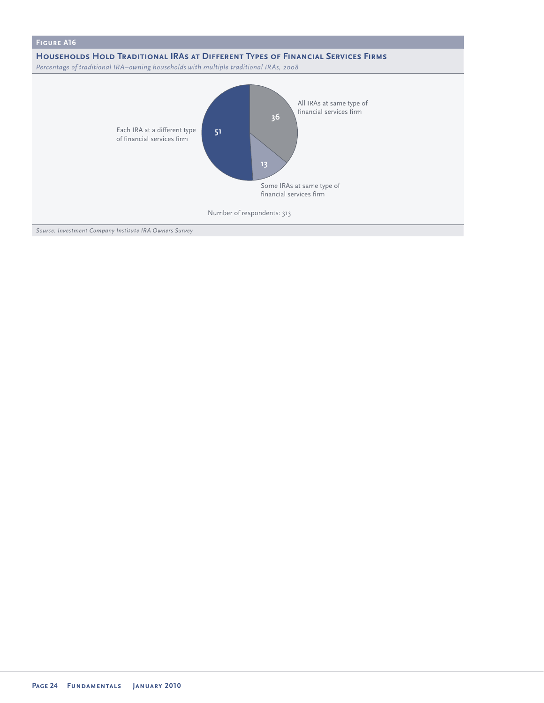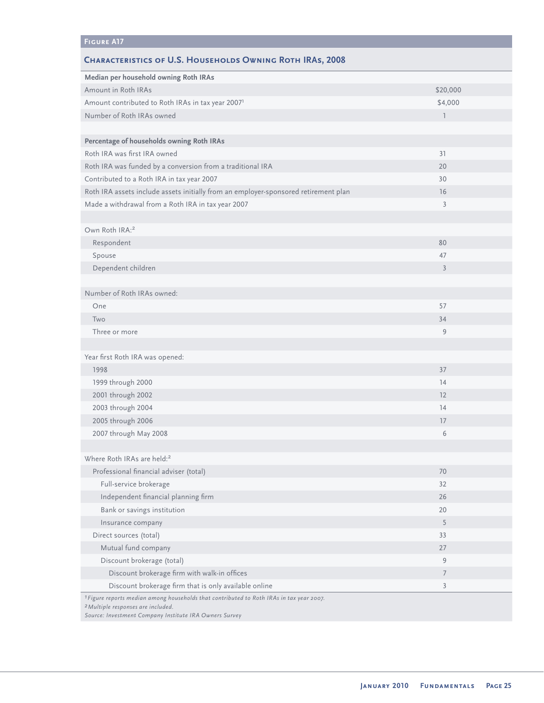### **Characteristics of U.S. Households Owning Roth IRAs, 2008**

| Median per household owning Roth IRAs                                                                                                                                                               |                |
|-----------------------------------------------------------------------------------------------------------------------------------------------------------------------------------------------------|----------------|
| Amount in Roth IRAs                                                                                                                                                                                 | \$20,000       |
| Amount contributed to Roth IRAs in tax year 2007 <sup>1</sup>                                                                                                                                       | \$4,000        |
| Number of Roth IRAs owned                                                                                                                                                                           | $\mathbb{I}$   |
|                                                                                                                                                                                                     |                |
| Percentage of households owning Roth IRAs                                                                                                                                                           |                |
| Roth IRA was first IRA owned                                                                                                                                                                        | 31             |
| Roth IRA was funded by a conversion from a traditional IRA                                                                                                                                          | 20             |
| Contributed to a Roth IRA in tax year 2007                                                                                                                                                          | 30             |
| Roth IRA assets include assets initially from an employer-sponsored retirement plan                                                                                                                 | 16             |
| Made a withdrawal from a Roth IRA in tax year 2007                                                                                                                                                  | 3              |
|                                                                                                                                                                                                     |                |
| Own Roth IRA: <sup>2</sup>                                                                                                                                                                          |                |
| Respondent                                                                                                                                                                                          | 80             |
| Spouse                                                                                                                                                                                              | 47             |
| Dependent children                                                                                                                                                                                  | $\overline{3}$ |
|                                                                                                                                                                                                     |                |
| Number of Roth IRAs owned:                                                                                                                                                                          |                |
| One                                                                                                                                                                                                 | 57             |
| Two                                                                                                                                                                                                 | 34             |
| Three or more                                                                                                                                                                                       | 9              |
|                                                                                                                                                                                                     |                |
| Year first Roth IRA was opened:                                                                                                                                                                     |                |
| 1998                                                                                                                                                                                                | 37             |
| 1999 through 2000                                                                                                                                                                                   | 14             |
| 2001 through 2002                                                                                                                                                                                   | 12             |
| 2003 through 2004                                                                                                                                                                                   | 14             |
| 2005 through 2006                                                                                                                                                                                   | 17             |
| 2007 through May 2008                                                                                                                                                                               | 6              |
|                                                                                                                                                                                                     |                |
| Where Roth IRAs are held: <sup>2</sup>                                                                                                                                                              |                |
| Professional financial adviser (total)                                                                                                                                                              | 70             |
| Full-service brokerage                                                                                                                                                                              | 32             |
| Independent financial planning firm                                                                                                                                                                 | 26             |
| Bank or savings institution                                                                                                                                                                         | 20             |
| Insurance company                                                                                                                                                                                   | 5              |
| Direct sources (total)                                                                                                                                                                              | 33             |
| Mutual fund company                                                                                                                                                                                 | 27             |
| Discount brokerage (total)                                                                                                                                                                          | 9              |
| Discount brokerage firm with walk-in offices                                                                                                                                                        | 7              |
| Discount brokerage firm that is only available online                                                                                                                                               | $\overline{3}$ |
| 1 Figure reports median among households that contributed to Roth IRAs in tax year 2007.<br><sup>2</sup> Multiple responses are included.<br>Source: Investment Company Institute IRA Owners Survey |                |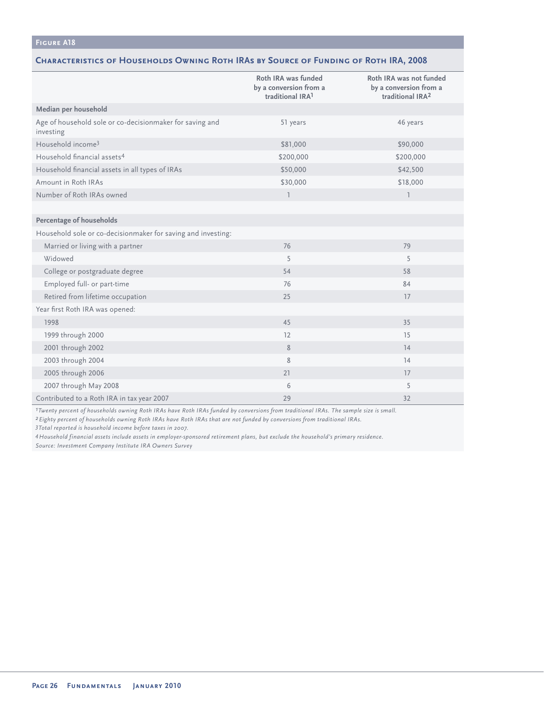#### **Characteristics of Households Owning Roth IRAs by Source of Funding of Roth IRA, 2008**

|                                                                       | Roth IRA was funded<br>by a conversion from a<br>traditional IRA <sup>1</sup> | Roth IRA was not funded<br>by a conversion from a<br>traditional IRA <sup>2</sup> |
|-----------------------------------------------------------------------|-------------------------------------------------------------------------------|-----------------------------------------------------------------------------------|
| Median per household                                                  |                                                                               |                                                                                   |
| Age of household sole or co-decisionmaker for saving and<br>investing | 51 years                                                                      | 46 years                                                                          |
| Household income <sup>3</sup>                                         | \$81,000                                                                      | \$90,000                                                                          |
| Household financial assets <sup>4</sup>                               | \$200,000                                                                     | \$200,000                                                                         |
| Household financial assets in all types of IRAs                       | \$50,000                                                                      | \$42,500                                                                          |
| Amount in Roth IRAs                                                   | \$30,000                                                                      | \$18,000                                                                          |
| Number of Roth IRAs owned                                             | $\overline{1}$                                                                | $\overline{1}$                                                                    |
|                                                                       |                                                                               |                                                                                   |
| Percentage of households                                              |                                                                               |                                                                                   |
| Household sole or co-decisionmaker for saving and investing:          |                                                                               |                                                                                   |
| Married or living with a partner                                      | 76                                                                            | 79                                                                                |
| Widowed                                                               | 5                                                                             | 5                                                                                 |
| College or postgraduate degree                                        | 54                                                                            | 58                                                                                |
| Employed full- or part-time                                           | 76                                                                            | 84                                                                                |
| Retired from lifetime occupation                                      | 25                                                                            | 17                                                                                |
| Year first Roth IRA was opened:                                       |                                                                               |                                                                                   |
| 1998                                                                  | 45                                                                            | 35                                                                                |
| 1999 through 2000                                                     | 12                                                                            | 15                                                                                |
| 2001 through 2002                                                     | $\,$ 8 $\,$                                                                   | 14                                                                                |
| 2003 through 2004                                                     | 8                                                                             | 14                                                                                |
| 2005 through 2006                                                     | 21                                                                            | 17                                                                                |
| 2007 through May 2008                                                 | 6                                                                             | 5                                                                                 |
| Contributed to a Roth IRA in tax year 2007                            | 29                                                                            | 32                                                                                |

*1Twenty percent of households owning Roth IRAs have Roth IRAs funded by conversions from traditional IRAs. The sample size is small.*

*2Eighty percent of households owning Roth IRAs have Roth IRAs that are not funded by conversions from traditional IRAs.*

*3Total reported is household income before taxes in 2007.*

*4Household financial assets include assets in employer-sponsored retirement plans, but exclude the household's primary residence. Source: Investment Company Institute IRA Owners Survey*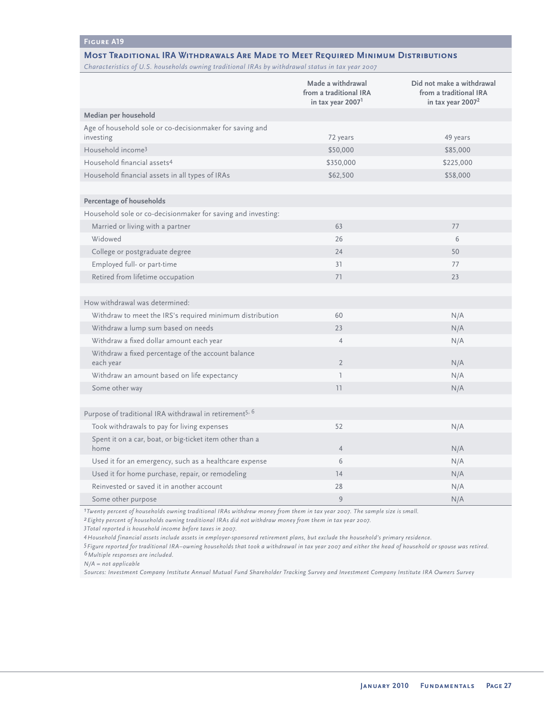#### **Most Traditional IRA Withdrawals Are Made to Meet Required Minimum Distributions**

*Characteristics of U.S. households owning traditional IRAs by withdrawal status in tax year 2007*

|                                                                       | Made a withdrawal<br>from a traditional IRA<br>in tax year 2007 <sup>1</sup> | Did not make a withdrawal<br>from a traditional IRA<br>in tax year 2007 <sup>2</sup> |
|-----------------------------------------------------------------------|------------------------------------------------------------------------------|--------------------------------------------------------------------------------------|
| Median per household                                                  |                                                                              |                                                                                      |
| Age of household sole or co-decisionmaker for saving and<br>investing | 72 years                                                                     | 49 years                                                                             |
| Household income <sup>3</sup>                                         | \$50,000                                                                     | \$85,000                                                                             |
| Household financial assets <sup>4</sup>                               | \$350,000                                                                    | \$225,000                                                                            |
| Household financial assets in all types of IRAs                       | \$62,500                                                                     | \$58,000                                                                             |
|                                                                       |                                                                              |                                                                                      |
| Percentage of households                                              |                                                                              |                                                                                      |
| Household sole or co-decisionmaker for saving and investing:          |                                                                              |                                                                                      |
| Married or living with a partner                                      | 63                                                                           | 77                                                                                   |
| Widowed                                                               | 26                                                                           | 6                                                                                    |
| College or postgraduate degree                                        | 24                                                                           | 50                                                                                   |
| Employed full- or part-time                                           | 31                                                                           | 77                                                                                   |
| Retired from lifetime occupation                                      | 71                                                                           | 23                                                                                   |
|                                                                       |                                                                              |                                                                                      |
| How withdrawal was determined:                                        |                                                                              |                                                                                      |
| Withdraw to meet the IRS's required minimum distribution              | 60                                                                           | N/A                                                                                  |
| Withdraw a lump sum based on needs                                    | 23                                                                           | N/A                                                                                  |
| Withdraw a fixed dollar amount each year                              | $\overline{4}$                                                               | N/A                                                                                  |
| Withdraw a fixed percentage of the account balance<br>each year       | $\overline{2}$                                                               | N/A                                                                                  |
| Withdraw an amount based on life expectancy                           | $\overline{1}$                                                               | N/A                                                                                  |
| Some other way                                                        | 11                                                                           | N/A                                                                                  |
|                                                                       |                                                                              |                                                                                      |
| Purpose of traditional IRA withdrawal in retirement <sup>5, 6</sup>   |                                                                              |                                                                                      |
| Took withdrawals to pay for living expenses                           | 52                                                                           | N/A                                                                                  |
| Spent it on a car, boat, or big-ticket item other than a<br>home      | $\overline{4}$                                                               | N/A                                                                                  |
| Used it for an emergency, such as a healthcare expense                | 6                                                                            | N/A                                                                                  |
| Used it for home purchase, repair, or remodeling                      | 14                                                                           | N/A                                                                                  |
| Reinvested or saved it in another account                             | 28                                                                           | N/A                                                                                  |
| Some other purpose                                                    | 9                                                                            | N/A                                                                                  |

*1Twenty percent of households owning traditional IRAs withdrew money from them in tax year 2007. The sample size is small.* 

*2Eighty percent of households owning traditional IRAs did not withdraw money from them in tax year 2007.*

*3Total reported is household income before taxes in 2007.*

*4Household financial assets include assets in employer-sponsored retirement plans, but exclude the household's primary residence.*

*5Figure reported for traditional IRA–owning households that took a withdrawal in tax year 2007 and either the head of household or spouse was retired. 6Multiple responses are included.*

*N/A = not applicable*

*Sources: Investment Company Institute Annual Mutual Fund Shareholder Tracking Survey and Investment Company Institute IRA Owners Survey*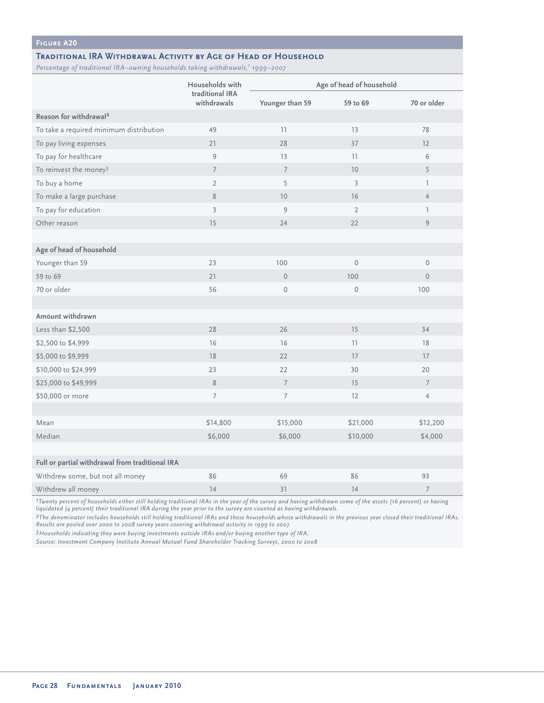#### **Traditional IRA Withdrawal Activity by Age of Head of Household**

*Percentage of traditional IRA–owning households taking withdrawals,1 1999–2007*

|                                                 | Households with                | Age of head of household |                |                |
|-------------------------------------------------|--------------------------------|--------------------------|----------------|----------------|
|                                                 | traditional IRA<br>withdrawals | Younger than 59          | 59 to 69       | 70 or older    |
| Reason for withdrawal <sup>2</sup>              |                                |                          |                |                |
| To take a required minimum distribution         | 49                             | 11                       | 13             | 78             |
| To pay living expenses                          | 21                             | 28                       | 37             | 12             |
| To pay for healthcare                           | 9                              | 13                       | 11             | 6              |
| To reinvest the money <sup>3</sup>              | $7\overline{ }$                | $\overline{7}$           | 10             | 5              |
| To buy a home                                   | $\overline{2}$                 | 5                        | $\overline{3}$ | $\mathbb{L}$   |
| To make a large purchase                        | 8                              | 10                       | 16             | $\overline{4}$ |
| To pay for education                            | $\overline{3}$                 | 9                        | $\overline{2}$ | T              |
| Other reason                                    | 15                             | 24                       | 22             | 9              |
|                                                 |                                |                          |                |                |
| Age of head of household                        |                                |                          |                |                |
| Younger than 59                                 | 23                             | 100                      | $\mathbf{0}$   | $\mathbf{0}$   |
| 59 to 69                                        | 21                             | $\mathbf{0}$             | 100            | $\overline{0}$ |
| 70 or older                                     | 56                             | $\mathsf{O}\xspace$      | $\mathbf 0$    | 100            |
|                                                 |                                |                          |                |                |
| Amount withdrawn                                |                                |                          |                |                |
| Less than \$2,500                               | 28                             | 26                       | 15             | 34             |
| \$2,500 to \$4,999                              | 16                             | 16                       | 11             | 18             |
| \$5,000 to \$9,999                              | $18$                           | 22                       | 17             | 17             |
| \$10,000 to \$24,999                            | 23                             | 22                       | 30             | 20             |
| \$25,000 to \$49,999                            | 8                              | $\overline{7}$           | 15             | $\overline{7}$ |
| \$50,000 or more                                | $\overline{7}$                 | $\overline{7}$           | 12             | $\overline{4}$ |
|                                                 |                                |                          |                |                |
| Mean                                            | \$14,800                       | \$15,000                 | \$21,000       | \$12,200       |
| Median                                          | \$6,000                        | \$6,000                  | \$10,000       | \$4,000        |
|                                                 |                                |                          |                |                |
| Full or partial withdrawal from traditional IRA |                                |                          |                |                |
| Withdrew some, but not all money                | 86                             | 69                       | 86             | 93             |
| Withdrew all money                              | 14                             | 31                       | 14             | $\overline{7}$ |

*1Twenty percent of households either still holding traditional IRAs in the year of the survey and having withdrawn some of the assets (16 percent) or having liquidated (4 percent) their traditional IRA during the year prior to the survey are counted as having withdrawals.*

*2The denominator includes households still holding traditional IRAs and those households whose withdrawals in the previous year closed their traditional IRAs. Results are pooled over 2000 to 2008 survey years covering withdrawal activity in 1999 to 2007.* 

*3Households indicating they were buying investments outside IRAs and/or buying another type of IRA.* 

*Source: Investment Company Institute Annual Mutual Fund Shareholder Tracking Surveys, 2000 to 2008*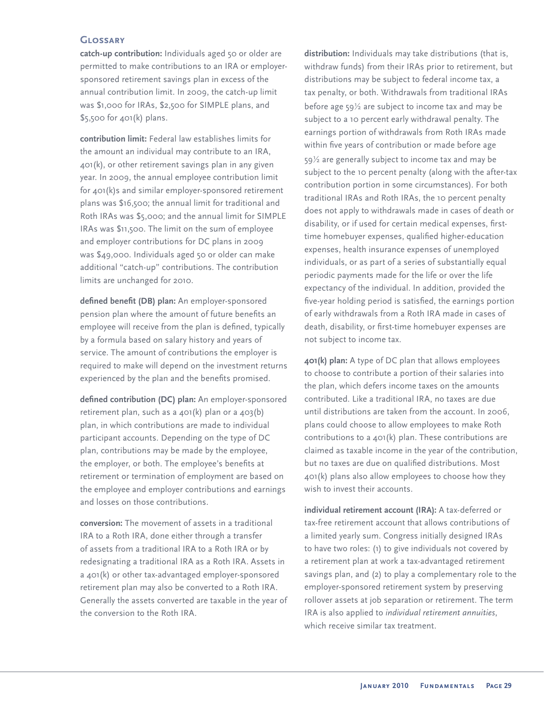#### **Glossary**

**catch-up contribution:** Individuals aged 50 or older are permitted to make contributions to an IRA or employersponsored retirement savings plan in excess of the annual contribution limit. In 2009, the catch-up limit was \$1,000 for IRAs, \$2,500 for SIMPLE plans, and \$5,500 for 401(k) plans.

**contribution limit:** Federal law establishes limits for the amount an individual may contribute to an IRA, 401(k), or other retirement savings plan in any given year. In 2009, the annual employee contribution limit for 401(k)s and similar employer-sponsored retirement plans was \$16,500; the annual limit for traditional and Roth IRAs was \$5,000; and the annual limit for SIMPLE IRAs was \$11,500. The limit on the sum of employee and employer contributions for DC plans in 2009 was \$49,000. Individuals aged 50 or older can make additional "catch-up" contributions. The contribution limits are unchanged for 2010.

defined benefit (DB) plan: An employer-sponsored pension plan where the amount of future benefits an employee will receive from the plan is defined, typically by a formula based on salary history and years of service. The amount of contributions the employer is required to make will depend on the investment returns experienced by the plan and the benefits promised.

defined contribution (DC) plan: An employer-sponsored retirement plan, such as a 401(k) plan or a 403(b) plan, in which contributions are made to individual participant accounts. Depending on the type of DC plan, contributions may be made by the employee, the employer, or both. The employee's benefits at retirement or termination of employment are based on the employee and employer contributions and earnings and losses on those contributions.

**conversion:** The movement of assets in a traditional IRA to a Roth IRA, done either through a transfer of assets from a traditional IRA to a Roth IRA or by redesignating a traditional IRA as a Roth IRA. Assets in a 401(k) or other tax-advantaged employer-sponsored retirement plan may also be converted to a Roth IRA. Generally the assets converted are taxable in the year of the conversion to the Roth IRA.

**distribution:** Individuals may take distributions (that is, withdraw funds) from their IRAs prior to retirement, but distributions may be subject to federal income tax, a tax penalty, or both. Withdrawals from traditional IRAs before age 59½ are subject to income tax and may be subject to a 10 percent early withdrawal penalty. The earnings portion of withdrawals from Roth IRAs made within five years of contribution or made before age 59½ are generally subject to income tax and may be subject to the 10 percent penalty (along with the after-tax contribution portion in some circumstances). For both traditional IRAs and Roth IRAs, the 10 percent penalty does not apply to withdrawals made in cases of death or disability, or if used for certain medical expenses, firsttime homebuyer expenses, qualified higher-education expenses, health insurance expenses of unemployed individuals, or as part of a series of substantially equal periodic payments made for the life or over the life expectancy of the individual. In addition, provided the five-year holding period is satisfied, the earnings portion of early withdrawals from a Roth IRA made in cases of death, disability, or first-time homebuyer expenses are not subject to income tax.

**401(k) plan:** A type of DC plan that allows employees to choose to contribute a portion of their salaries into the plan, which defers income taxes on the amounts contributed. Like a traditional IRA, no taxes are due until distributions are taken from the account. In 2006, plans could choose to allow employees to make Roth contributions to a 401(k) plan. These contributions are claimed as taxable income in the year of the contribution, but no taxes are due on qualified distributions. Most 401(k) plans also allow employees to choose how they wish to invest their accounts.

**individual retirement account (IRA):** A tax-deferred or tax-free retirement account that allows contributions of a limited yearly sum. Congress initially designed IRAs to have two roles: (1) to give individuals not covered by a retirement plan at work a tax-advantaged retirement savings plan, and (2) to play a complementary role to the employer-sponsored retirement system by preserving rollover assets at job separation or retirement. The term IRA is also applied to *individual retirement annuities*, which receive similar tax treatment.